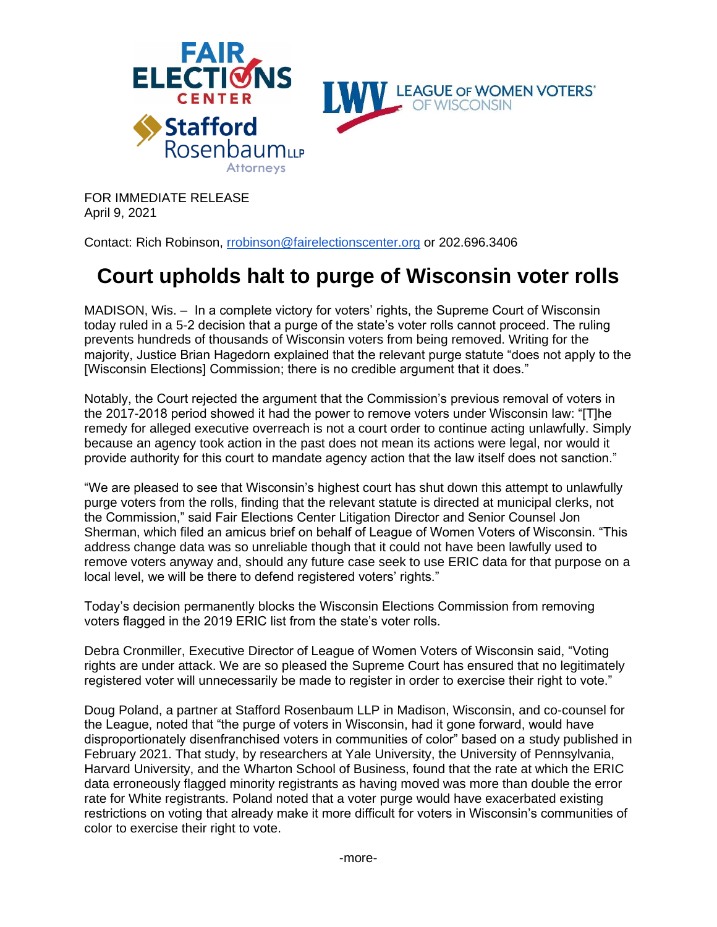

FOR IMMEDIATE RELEASE April 9, 2021

Contact: Rich Robinson, [rrobinson@fairelectionscenter.org](mailto:rrobinson@fairelectionscenter.org) or 202.696.3406

## **Court upholds halt to purge of Wisconsin voter rolls**

MADISON, Wis. – In a complete victory for voters' rights, the Supreme Court of Wisconsin today ruled in a 5-2 decision that a purge of the state's voter rolls cannot proceed. The ruling prevents hundreds of thousands of Wisconsin voters from being removed. Writing for the majority, Justice Brian Hagedorn explained that the relevant purge statute "does not apply to the [Wisconsin Elections] Commission; there is no credible argument that it does."

Notably, the Court rejected the argument that the Commission's previous removal of voters in the 2017-2018 period showed it had the power to remove voters under Wisconsin law: "[T]he remedy for alleged executive overreach is not a court order to continue acting unlawfully. Simply because an agency took action in the past does not mean its actions were legal, nor would it provide authority for this court to mandate agency action that the law itself does not sanction."

"We are pleased to see that Wisconsin's highest court has shut down this attempt to unlawfully purge voters from the rolls, finding that the relevant statute is directed at municipal clerks, not the Commission," said Fair Elections Center Litigation Director and Senior Counsel Jon Sherman, which filed an amicus brief on behalf of League of Women Voters of Wisconsin. "This address change data was so unreliable though that it could not have been lawfully used to remove voters anyway and, should any future case seek to use ERIC data for that purpose on a local level, we will be there to defend registered voters' rights."

Today's decision permanently blocks the Wisconsin Elections Commission from removing voters flagged in the 2019 ERIC list from the state's voter rolls.

Debra Cronmiller, Executive Director of League of Women Voters of Wisconsin said, "Voting rights are under attack. We are so pleased the Supreme Court has ensured that no legitimately registered voter will unnecessarily be made to register in order to exercise their right to vote."

Doug Poland, a partner at Stafford Rosenbaum LLP in Madison, Wisconsin, and co-counsel for the League, noted that "the purge of voters in Wisconsin, had it gone forward, would have disproportionately disenfranchised voters in communities of color" based on a study published in February 2021. That study, by researchers at Yale University, the University of Pennsylvania, Harvard University, and the Wharton School of Business, found that the rate at which the ERIC data erroneously flagged minority registrants as having moved was more than double the error rate for White registrants. Poland noted that a voter purge would have exacerbated existing restrictions on voting that already make it more difficult for voters in Wisconsin's communities of color to exercise their right to vote.